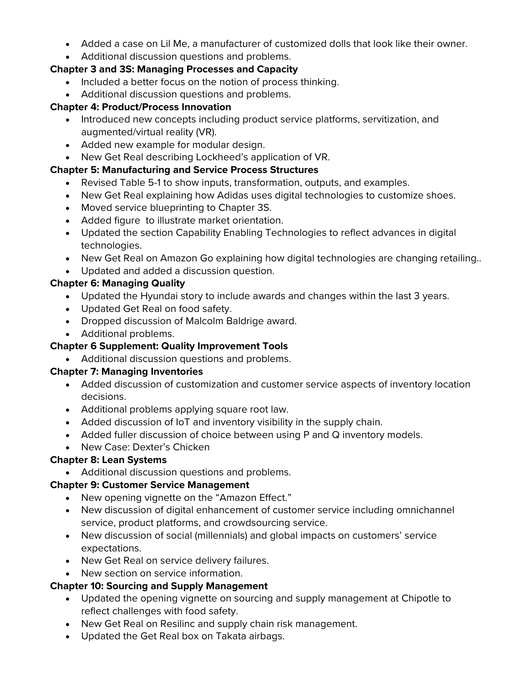• Added a case on Lil Me, a manufacturer of customized dolls that look like their owner.

# • Additional discussion questions and problems.

#### **Chapter 3 and 3S: Managing Processes and Capacity**

- Included a better focus on the notion of process thinking.
- Additional discussion questions and problems.

### **Chapter 4: Product/Process Innovation**

- Introduced new concepts including product service platforms, servitization, and augmented/virtual reality (VR).
- Added new example for modular design.
- New Get Real describing Lockheed's application of VR.

### **Chapter 5: Manufacturing and Service Process Structures**

- Revised Table 5-1 to show inputs, transformation, outputs, and examples.
- New Get Real explaining how Adidas uses digital technologies to customize shoes.
- Moved service blueprinting to Chapter 3S.
- Added figure to illustrate market orientation.
- Updated the section Capability Enabling Technologies to reflect advances in digital technologies.
- New Get Real on Amazon Go explaining how digital technologies are changing retailing..
- Updated and added a discussion question.

# **Chapter 6: Managing Quality**

- Updated the Hyundai story to include awards and changes within the last 3 years.
- Updated Get Real on food safety.
- Dropped discussion of Malcolm Baldrige award.
- Additional problems.

# **Chapter 6 Supplement: Quality Improvement Tools**

• Additional discussion questions and problems.

### **Chapter 7: Managing Inventories**

- Added discussion of customization and customer service aspects of inventory location decisions.
- Additional problems applying square root law.
- Added discussion of IoT and inventory visibility in the supply chain.
- Added fuller discussion of choice between using P and Q inventory models.
- New Case: Dexter's Chicken

# **Chapter 8: Lean Systems**

• Additional discussion questions and problems.

# **Chapter 9: Customer Service Management**

- New opening vignette on the "Amazon Effect."
- New discussion of digital enhancement of customer service including omnichannel service, product platforms, and crowdsourcing service.
- New discussion of social (millennials) and global impacts on customers' service expectations.
- New Get Real on service delivery failures.
- New section on service information.

# **Chapter 10: Sourcing and Supply Management**

- Updated the opening vignette on sourcing and supply management at Chipotle to reflect challenges with food safety.
- New Get Real on Resilinc and supply chain risk management.
- Updated the Get Real box on Takata airbags.